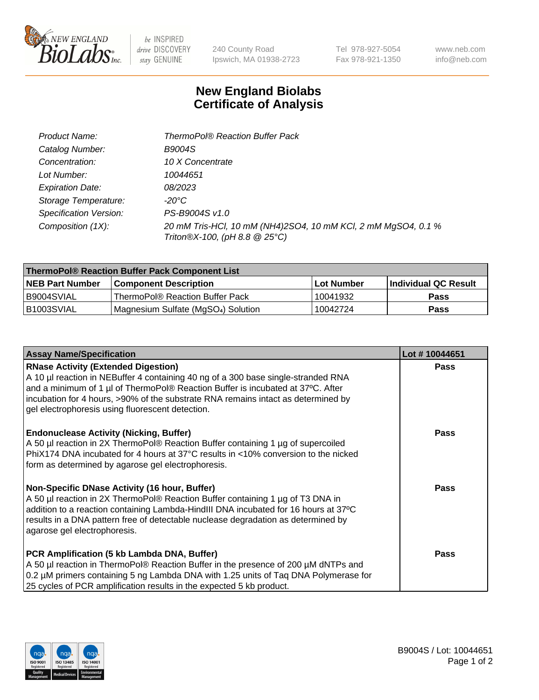

 $be$  INSPIRED drive DISCOVERY stay GENUINE

240 County Road Ipswich, MA 01938-2723

Tel 978-927-5054 Fax 978-921-1350 www.neb.com info@neb.com

## **New England Biolabs Certificate of Analysis**

| Product Name:                 | <b>ThermoPol® Reaction Buffer Pack</b>                                                         |
|-------------------------------|------------------------------------------------------------------------------------------------|
| Catalog Number:               | <b>B9004S</b>                                                                                  |
| Concentration:                | 10 X Concentrate                                                                               |
| Lot Number:                   | 10044651                                                                                       |
| <b>Expiration Date:</b>       | 08/2023                                                                                        |
| Storage Temperature:          | -20°C                                                                                          |
| <b>Specification Version:</b> | PS-B9004S v1.0                                                                                 |
| Composition (1X):             | 20 mM Tris-HCl, 10 mM (NH4)2SO4, 10 mM KCl, 2 mM MgSO4, 0.1 %<br>Triton®X-100, (pH 8.8 @ 25°C) |

| ThermoPol® Reaction Buffer Pack Component List |                                    |             |                             |  |
|------------------------------------------------|------------------------------------|-------------|-----------------------------|--|
| <b>NEB Part Number</b>                         | <b>Component Description</b>       | ⊺Lot Number | <b>Individual QC Result</b> |  |
| I B9004SVIAL                                   | ThermoPol® Reaction Buffer Pack_   | 10041932    | Pass                        |  |
| IB1003SVIAL                                    | Magnesium Sulfate (MgSO4) Solution | 10042724    | Pass                        |  |

| <b>Assay Name/Specification</b>                                                                                                                                                                                                                                                                                                                             | Lot #10044651 |
|-------------------------------------------------------------------------------------------------------------------------------------------------------------------------------------------------------------------------------------------------------------------------------------------------------------------------------------------------------------|---------------|
| <b>RNase Activity (Extended Digestion)</b><br>A 10 µl reaction in NEBuffer 4 containing 40 ng of a 300 base single-stranded RNA<br>and a minimum of 1 µl of ThermoPol® Reaction Buffer is incubated at 37°C. After<br>incubation for 4 hours, >90% of the substrate RNA remains intact as determined by<br>gel electrophoresis using fluorescent detection. | <b>Pass</b>   |
| <b>Endonuclease Activity (Nicking, Buffer)</b><br>A 50 µl reaction in 2X ThermoPol® Reaction Buffer containing 1 µg of supercoiled<br>PhiX174 DNA incubated for 4 hours at 37°C results in <10% conversion to the nicked<br>form as determined by agarose gel electrophoresis.                                                                              | <b>Pass</b>   |
| Non-Specific DNase Activity (16 hour, Buffer)<br>A 50 µl reaction in 2X ThermoPol® Reaction Buffer containing 1 µg of T3 DNA in<br>addition to a reaction containing Lambda-HindIII DNA incubated for 16 hours at 37°C<br>results in a DNA pattern free of detectable nuclease degradation as determined by<br>agarose gel electrophoresis.                 | <b>Pass</b>   |
| PCR Amplification (5 kb Lambda DNA, Buffer)<br>A 50 µl reaction in ThermoPol® Reaction Buffer in the presence of 200 µM dNTPs and<br>0.2 µM primers containing 5 ng Lambda DNA with 1.25 units of Tag DNA Polymerase for<br>25 cycles of PCR amplification results in the expected 5 kb product.                                                            | <b>Pass</b>   |